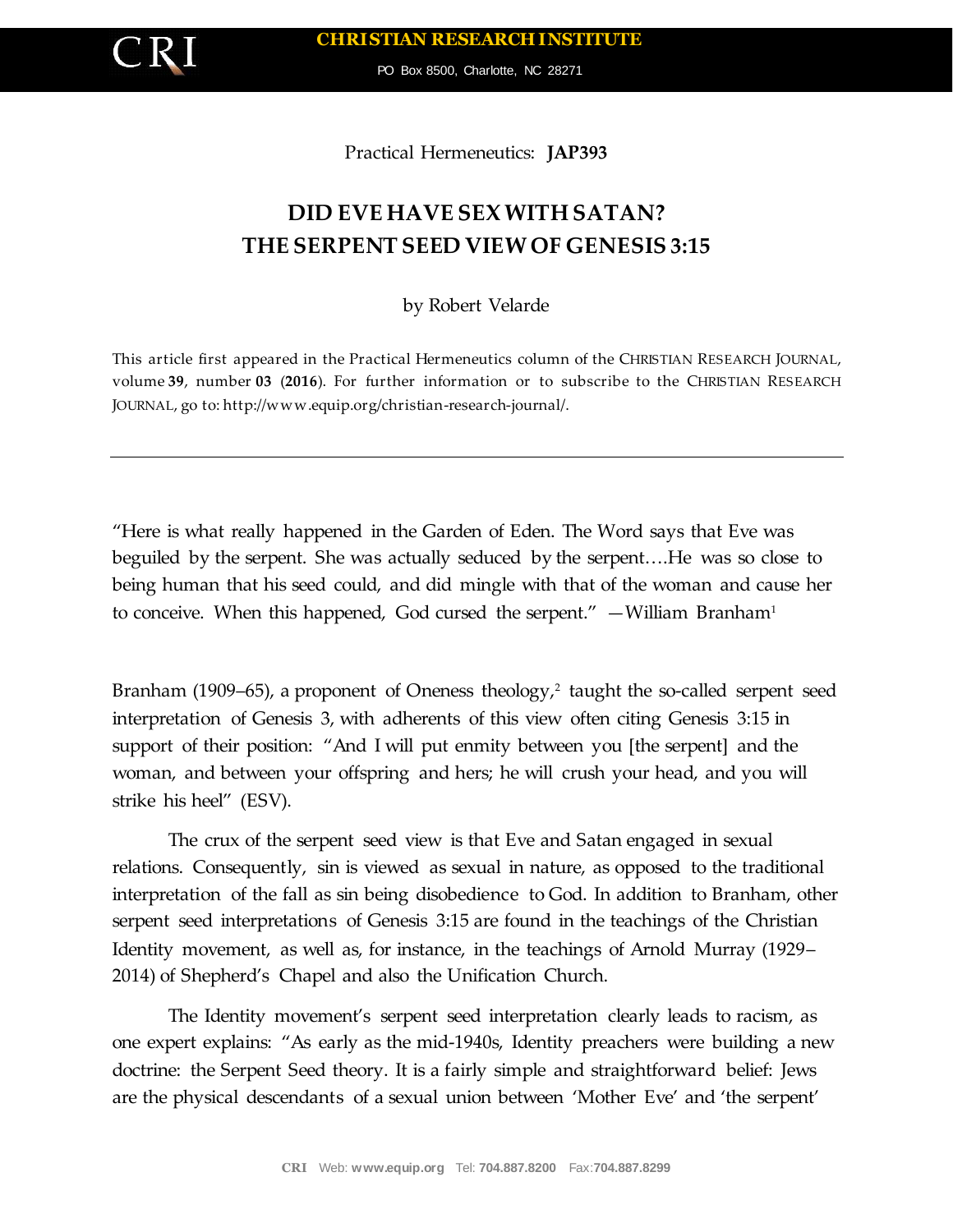

PO Box 8500, Charlotte, NC 28271

Practical Hermeneutics: **JAP393**

## **DID EVE HAVE SEX WITH SATAN? THE SERPENT SEED VIEW OF GENESIS 3:15**

by Robert Velarde

This article first appeared in the Practical Hermeneutics column of the CHRISTIAN RESEARCH JOURNAL, volume **39**, number **03** (**2016**). For further information or to subscribe to the CHRISTIAN RESEARCH JOURNAL, go to: http://www.equip.org/christian-research-journal/.

"Here is what really happened in the Garden of Eden. The Word says that Eve was beguiled by the serpent. She was actually seduced by the serpent….He was so close to being human that his seed could, and did mingle with that of the woman and cause her to conceive. When this happened, God cursed the serpent." — William Branham<sup>1</sup>

Branham (1909–65), a proponent of Oneness theology,<sup>2</sup> taught the so-called serpent seed interpretation of Genesis 3, with adherents of this view often citing Genesis 3:15 in support of their position: "And I will put enmity between you [the serpent] and the woman, and between your offspring and hers; he will crush your head, and you will strike his heel" (ESV).

The crux of the serpent seed view is that Eve and Satan engaged in sexual relations. Consequently, sin is viewed as sexual in nature, as opposed to the traditional interpretation of the fall as sin being disobedience to God. In addition to Branham, other serpent seed interpretations of Genesis 3:15 are found in the teachings of the Christian Identity movement, as well as, for instance, in the teachings of Arnold Murray (1929– 2014) of Shepherd's Chapel and also the Unification Church.

The Identity movement's serpent seed interpretation clearly leads to racism, as one expert explains: "As early as the mid-1940s, Identity preachers were building a new doctrine: the Serpent Seed theory. It is a fairly simple and straightforward belief: Jews are the physical descendants of a sexual union between 'Mother Eve' and 'the serpent'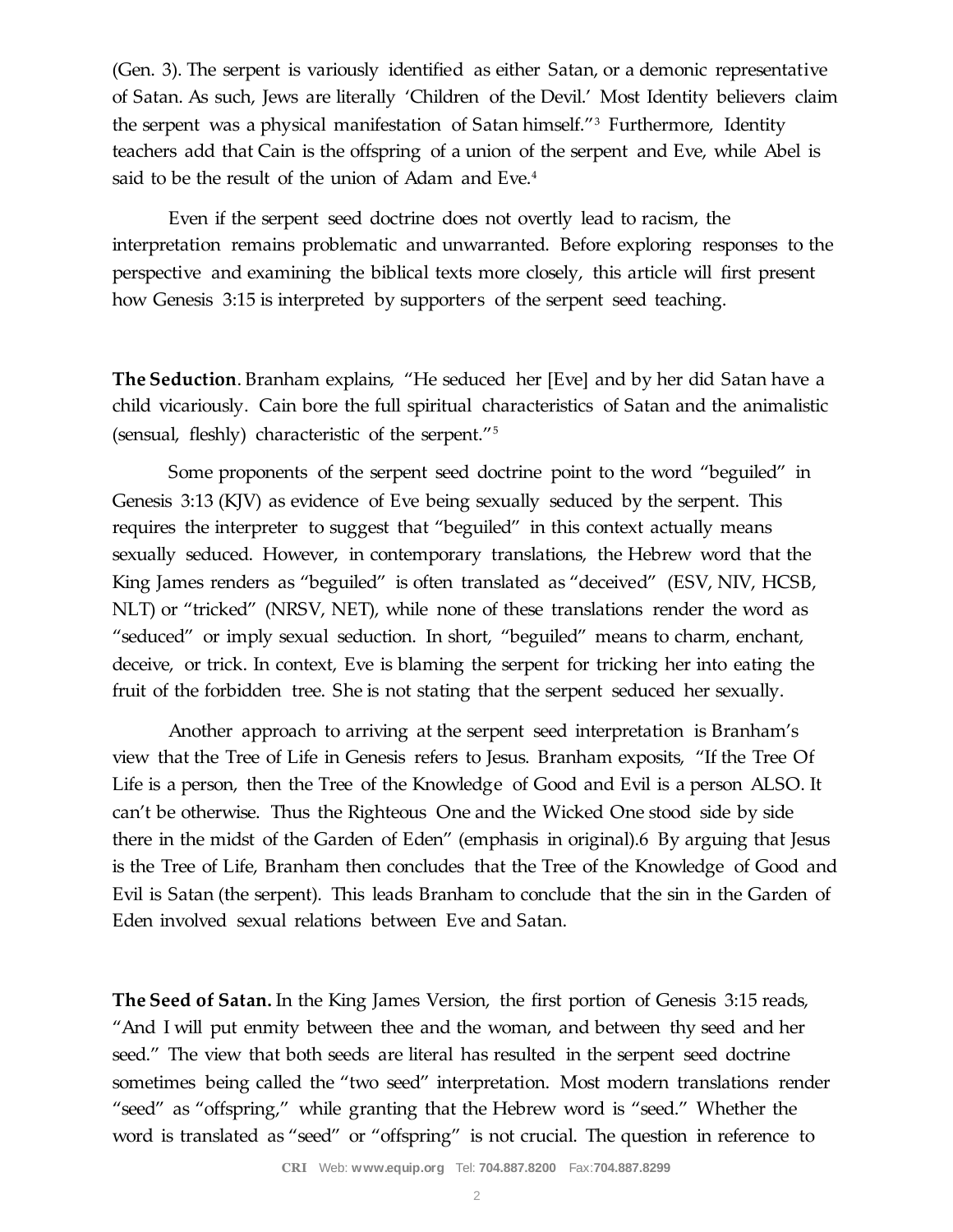(Gen. 3). The serpent is variously identified as either Satan, or a demonic representative of Satan. As such, Jews are literally 'Children of the Devil.' Most Identity believers claim the serpent was a physical manifestation of Satan himself."<sup>3</sup> Furthermore, Identity teachers add that Cain is the offspring of a union of the serpent and Eve, while Abel is said to be the result of the union of Adam and Eve.<sup>4</sup>

Even if the serpent seed doctrine does not overtly lead to racism, the interpretation remains problematic and unwarranted. Before exploring responses to the perspective and examining the biblical texts more closely, this article will first present how Genesis 3:15 is interpreted by supporters of the serpent seed teaching.

**The Seduction**. Branham explains, "He seduced her [Eve] and by her did Satan have a child vicariously. Cain bore the full spiritual characteristics of Satan and the animalistic (sensual, fleshly) characteristic of the serpent."<sup>5</sup>

Some proponents of the serpent seed doctrine point to the word "beguiled" in Genesis 3:13 (KJV) as evidence of Eve being sexually seduced by the serpent. This requires the interpreter to suggest that "beguiled" in this context actually means sexually seduced. However, in contemporary translations, the Hebrew word that the King James renders as "beguiled" is often translated as "deceived" (ESV, NIV, HCSB, NLT) or "tricked" (NRSV, NET), while none of these translations render the word as "seduced" or imply sexual seduction. In short, "beguiled" means to charm, enchant, deceive, or trick. In context, Eve is blaming the serpent for tricking her into eating the fruit of the forbidden tree. She is not stating that the serpent seduced her sexually.

Another approach to arriving at the serpent seed interpretation is Branham's view that the Tree of Life in Genesis refers to Jesus. Branham exposits, "If the Tree Of Life is a person, then the Tree of the Knowledge of Good and Evil is a person ALSO. It can't be otherwise. Thus the Righteous One and the Wicked One stood side by side there in the midst of the Garden of Eden" (emphasis in original).6 By arguing that Jesus is the Tree of Life, Branham then concludes that the Tree of the Knowledge of Good and Evil is Satan (the serpent). This leads Branham to conclude that the sin in the Garden of Eden involved sexual relations between Eve and Satan.

**The Seed of Satan.** In the King James Version, the first portion of Genesis 3:15 reads, "And I will put enmity between thee and the woman, and between thy seed and her seed." The view that both seeds are literal has resulted in the serpent seed doctrine sometimes being called the "two seed" interpretation. Most modern translations render "seed" as "offspring," while granting that the Hebrew word is "seed." Whether the word is translated as "seed" or "offspring" is not crucial. The question in reference to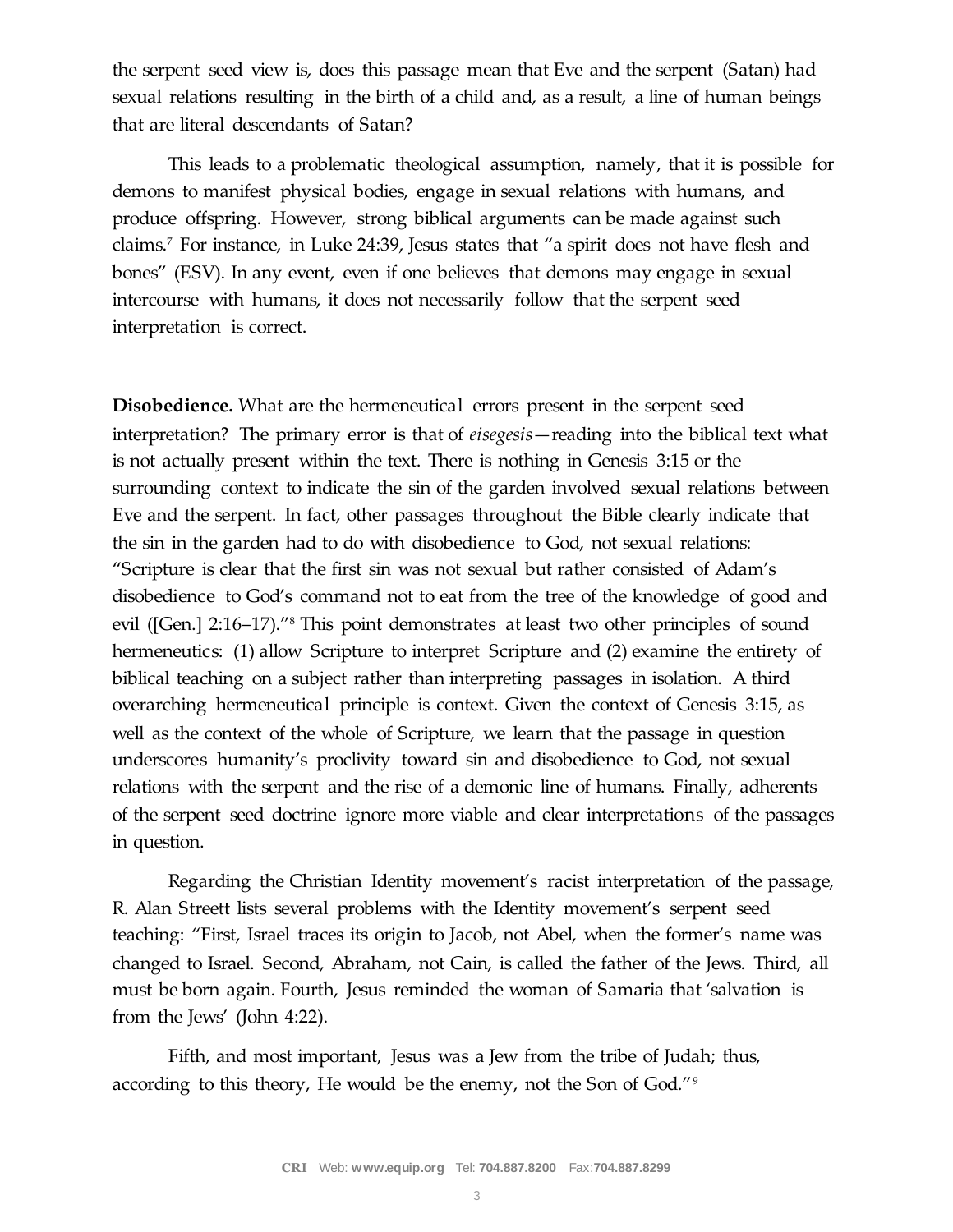the serpent seed view is, does this passage mean that Eve and the serpent (Satan) had sexual relations resulting in the birth of a child and, as a result, a line of human beings that are literal descendants of Satan?

This leads to a problematic theological assumption, namely, that it is possible for demons to manifest physical bodies, engage in sexual relations with humans, and produce offspring. However, strong biblical arguments can be made against such claims.<sup>7</sup> For instance, in Luke 24:39, Jesus states that "a spirit does not have flesh and bones" (ESV). In any event, even if one believes that demons may engage in sexual intercourse with humans, it does not necessarily follow that the serpent seed interpretation is correct.

**Disobedience.** What are the hermeneutical errors present in the serpent seed interpretation? The primary error is that of *eisegesis*—reading into the biblical text what is not actually present within the text. There is nothing in Genesis 3:15 or the surrounding context to indicate the sin of the garden involved sexual relations between Eve and the serpent. In fact, other passages throughout the Bible clearly indicate that the sin in the garden had to do with disobedience to God, not sexual relations: "Scripture is clear that the first sin was not sexual but rather consisted of Adam's disobedience to God's command not to eat from the tree of the knowledge of good and evil ([Gen.] 2:16–17)."<sup>8</sup> This point demonstrates at least two other principles of sound hermeneutics: (1) allow Scripture to interpret Scripture and (2) examine the entirety of biblical teaching on a subject rather than interpreting passages in isolation. A third overarching hermeneutical principle is context. Given the context of Genesis 3:15, as well as the context of the whole of Scripture, we learn that the passage in question underscores humanity's proclivity toward sin and disobedience to God, not sexual relations with the serpent and the rise of a demonic line of humans. Finally, adherents of the serpent seed doctrine ignore more viable and clear interpretations of the passages in question.

Regarding the Christian Identity movement's racist interpretation of the passage, R. Alan Streett lists several problems with the Identity movement's serpent seed teaching: "First, Israel traces its origin to Jacob, not Abel, when the former's name was changed to Israel. Second, Abraham, not Cain, is called the father of the Jews. Third, all must be born again. Fourth, Jesus reminded the woman of Samaria that 'salvation is from the Jews' (John 4:22).

Fifth, and most important, Jesus was a Jew from the tribe of Judah; thus, according to this theory, He would be the enemy, not the Son of God."9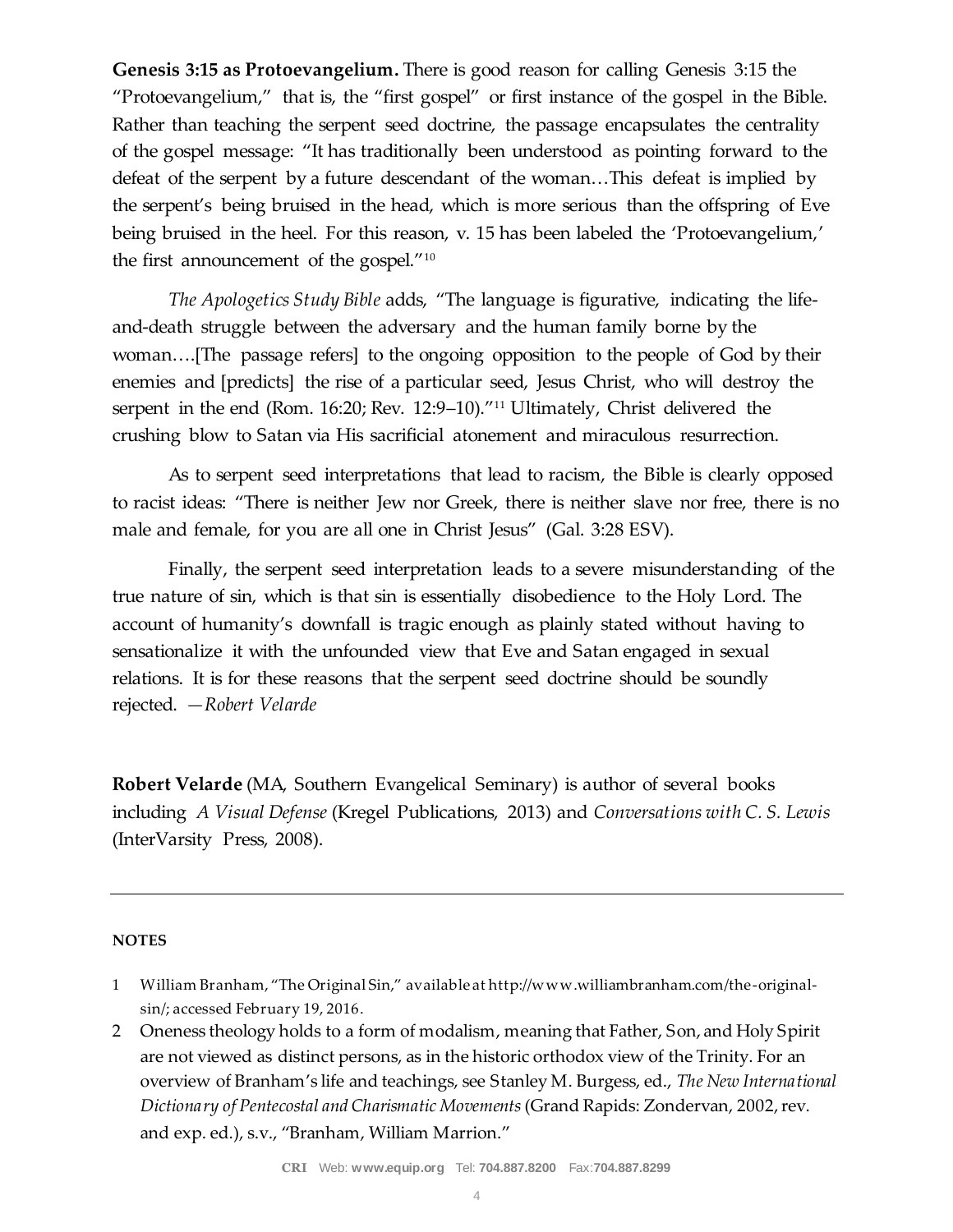**Genesis 3:15 as Protoevangelium.** There is good reason for calling Genesis 3:15 the "Protoevangelium," that is, the "first gospel" or first instance of the gospel in the Bible. Rather than teaching the serpent seed doctrine, the passage encapsulates the centrality of the gospel message: "It has traditionally been understood as pointing forward to the defeat of the serpent by a future descendant of the woman…This defeat is implied by the serpent's being bruised in the head, which is more serious than the offspring of Eve being bruised in the heel. For this reason, v. 15 has been labeled the 'Protoevangelium,' the first announcement of the gospel."<sup>10</sup>

*The Apologetics Study Bible* adds, "The language is figurative, indicating the lifeand-death struggle between the adversary and the human family borne by the woman….[The passage refers] to the ongoing opposition to the people of God by their enemies and [predicts] the rise of a particular seed, Jesus Christ, who will destroy the serpent in the end (Rom. 16:20; Rev. 12:9–10)."<sup>11</sup> Ultimately, Christ delivered the crushing blow to Satan via His sacrificial atonement and miraculous resurrection.

As to serpent seed interpretations that lead to racism, the Bible is clearly opposed to racist ideas: "There is neither Jew nor Greek, there is neither slave nor free, there is no male and female, for you are all one in Christ Jesus" (Gal. 3:28 ESV).

Finally, the serpent seed interpretation leads to a severe misunderstanding of the true nature of sin, which is that sin is essentially disobedience to the Holy Lord. The account of humanity's downfall is tragic enough as plainly stated without having to sensationalize it with the unfounded view that Eve and Satan engaged in sexual relations. It is for these reasons that the serpent seed doctrine should be soundly rejected. *—Robert Velarde*

**Robert Velarde** (MA, Southern Evangelical Seminary) is author of several books including *A Visual Defense* (Kregel Publications, 2013) and *Conversations with C. S. Lewis*  (InterVarsity Press, 2008).

## **NOTES**

- 1 William Branham, "The Original Sin," available at http://www.williambranham.com/the-originalsin/; accessed February 19, 2016.
- 2 Oneness theology holds to a form of modalism, meaning that Father, Son, and Holy Spirit are not viewed as distinct persons, as in the historic orthodox view of the Trinity. For an overview of Branham's life and teachings, see Stanley M. Burgess, ed., *The New International Dictionary of Pentecostal and Charismatic Movements*(Grand Rapids: Zondervan, 2002, rev. and exp. ed.), s.v., "Branham, William Marrion."